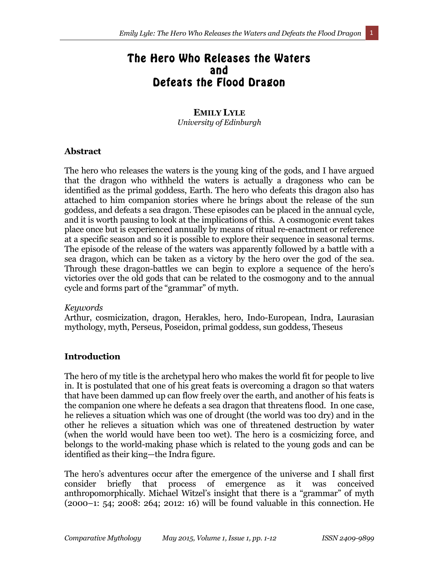# The Hero Who Releases the Waters and Defeats the Flood Dragon

### **EMILY LYLE**  *University of Edinburgh*

#### **Abstract**

The hero who releases the waters is the young king of the gods, and I have argued that the dragon who withheld the waters is actually a dragoness who can be identified as the primal goddess, Earth. The hero who defeats this dragon also has attached to him companion stories where he brings about the release of the sun goddess, and defeats a sea dragon. These episodes can be placed in the annual cycle, and it is worth pausing to look at the implications of this. A cosmogonic event takes place once but is experienced annually by means of ritual re-enactment or reference at a specific season and so it is possible to explore their sequence in seasonal terms. The episode of the release of the waters was apparently followed by a battle with a sea dragon, which can be taken as a victory by the hero over the god of the sea. Through these dragon-battles we can begin to explore a sequence of the hero's victories over the old gods that can be related to the cosmogony and to the annual cycle and forms part of the "grammar" of myth.

#### *Keywords*

Arthur, cosmicization, dragon, Herakles, hero, Indo-European, Indra, Laurasian mythology, myth, Perseus, Poseidon, primal goddess, sun goddess, Theseus

#### **Introduction**

The hero of my title is the archetypal hero who makes the world fit for people to live in. It is postulated that one of his great feats is overcoming a dragon so that waters that have been dammed up can flow freely over the earth, and another of his feats is the companion one where he defeats a sea dragon that threatens flood. In one case, he relieves a situation which was one of drought (the world was too dry) and in the other he relieves a situation which was one of threatened destruction by water (when the world would have been too wet). The hero is a cosmicizing force, and belongs to the world-making phase which is related to the young gods and can be identified as their king—the Indra figure.

The hero's adventures occur after the emergence of the universe and I shall first consider briefly that process of emergence as it was conceived anthropomorphically. Michael Witzel's insight that there is a "grammar" of myth (2000–1: 54; 2008: 264; 2012: 16) will be found valuable in this connection. He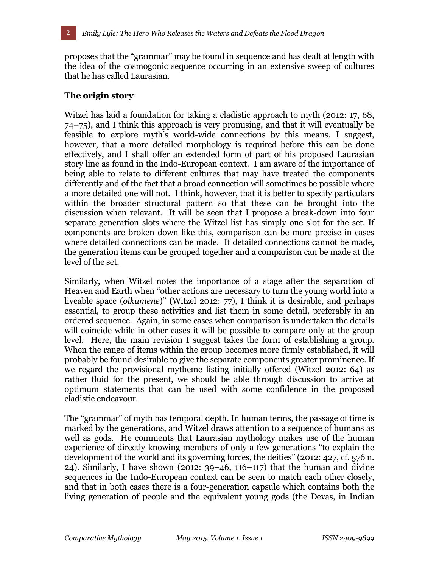proposes that the "grammar" may be found in sequence and has dealt at length with the idea of the cosmogonic sequence occurring in an extensive sweep of cultures that he has called Laurasian.

## **The origin story**

Witzel has laid a foundation for taking a cladistic approach to myth (2012: 17, 68, 74–75), and I think this approach is very promising, and that it will eventually be feasible to explore myth's world-wide connections by this means. I suggest, however, that a more detailed morphology is required before this can be done effectively, and I shall offer an extended form of part of his proposed Laurasian story line as found in the Indo-European context. I am aware of the importance of being able to relate to different cultures that may have treated the components differently and of the fact that a broad connection will sometimes be possible where a more detailed one will not. I think, however, that it is better to specify particulars within the broader structural pattern so that these can be brought into the discussion when relevant. It will be seen that I propose a break-down into four separate generation slots where the Witzel list has simply one slot for the set. If components are broken down like this, comparison can be more precise in cases where detailed connections can be made. If detailed connections cannot be made, the generation items can be grouped together and a comparison can be made at the level of the set.

Similarly, when Witzel notes the importance of a stage after the separation of Heaven and Earth when "other actions are necessary to turn the young world into a liveable space (*oikumene*)" (Witzel 2012: 77), I think it is desirable, and perhaps essential, to group these activities and list them in some detail, preferably in an ordered sequence. Again, in some cases when comparison is undertaken the details will coincide while in other cases it will be possible to compare only at the group level. Here, the main revision I suggest takes the form of establishing a group. When the range of items within the group becomes more firmly established, it will probably be found desirable to give the separate components greater prominence. If we regard the provisional mytheme listing initially offered (Witzel 2012: 64) as rather fluid for the present, we should be able through discussion to arrive at optimum statements that can be used with some confidence in the proposed cladistic endeavour.

The "grammar" of myth has temporal depth. In human terms, the passage of time is marked by the generations, and Witzel draws attention to a sequence of humans as well as gods. He comments that Laurasian mythology makes use of the human experience of directly knowing members of only a few generations "to explain the development of the world and its governing forces, the deities" (2012: 427, cf. 576 n. 24). Similarly, I have shown (2012: 39–46, 116–117) that the human and divine sequences in the Indo-European context can be seen to match each other closely, and that in both cases there is a four-generation capsule which contains both the living generation of people and the equivalent young gods (the Devas, in Indian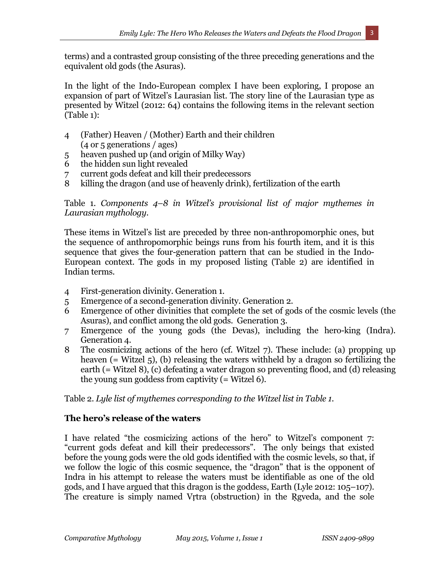terms) and a contrasted group consisting of the three preceding generations and the equivalent old gods (the Asuras).

In the light of the Indo-European complex I have been exploring, I propose an expansion of part of Witzel's Laurasian list. The story line of the Laurasian type as presented by Witzel (2012: 64) contains the following items in the relevant section (Table 1):

- 4 (Father) Heaven / (Mother) Earth and their children (4 or 5 generations / ages)
- 5 heaven pushed up (and origin of Milky Way)
- 6 the hidden sun light revealed
- 7 current gods defeat and kill their predecessors
- 8 killing the dragon (and use of heavenly drink), fertilization of the earth

# Table 1. *Components 4–8 in Witzel's provisional list of major mythemes in Laurasian mythology.*

These items in Witzel's list are preceded by three non-anthropomorphic ones, but the sequence of anthropomorphic beings runs from his fourth item, and it is this sequence that gives the four-generation pattern that can be studied in the Indo-European context. The gods in my proposed listing (Table 2) are identified in Indian terms.

- 4 First-generation divinity. Generation 1.
- 5 Emergence of a second-generation divinity. Generation 2.
- 6 Emergence of other divinities that complete the set of gods of the cosmic levels (the Asuras), and conflict among the old gods. Generation 3.
- 7 Emergence of the young gods (the Devas), including the hero-king (Indra). Generation 4.
- 8 The cosmicizing actions of the hero (cf. Witzel 7). These include: (a) propping up heaven (= Witzel 5), (b) releasing the waters withheld by a dragon so fertilizing the earth (= Witzel 8), (c) defeating a water dragon so preventing flood, and (d) releasing the young sun goddess from captivity (= Witzel 6).

Table 2. *Lyle list of mythemes corresponding to the Witzel list in Table 1.*

# **The hero's release of the waters**

I have related "the cosmicizing actions of the hero" to Witzel's component 7: "current gods defeat and kill their predecessors". The only beings that existed before the young gods were the old gods identified with the cosmic levels, so that, if we follow the logic of this cosmic sequence, the "dragon" that is the opponent of Indra in his attempt to release the waters must be identifiable as one of the old gods, and I have argued that this dragon is the goddess, Earth (Lyle 2012: 105–107). The creature is simply named Vṛtra (obstruction) in the Ṛgveda, and the sole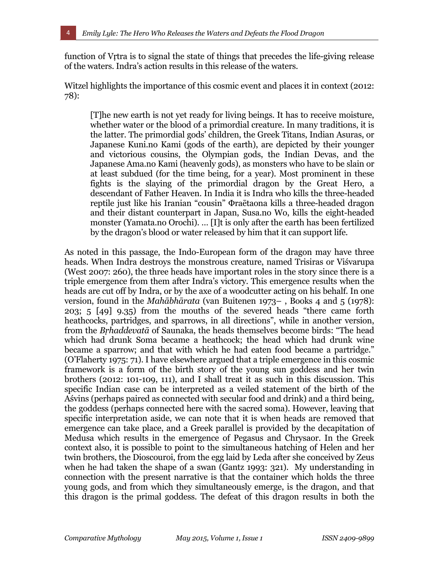function of Vṛtra is to signal the state of things that precedes the life-giving release of the waters. Indra's action results in this release of the waters.

Witzel highlights the importance of this cosmic event and places it in context (2012: 78):

[T]he new earth is not yet ready for living beings. It has to receive moisture, whether water or the blood of a primordial creature. In many traditions, it is the latter. The primordial gods' children, the Greek Titans, Indian Asuras, or Japanese Kuni.no Kami (gods of the earth), are depicted by their younger and victorious cousins, the Olympian gods, the Indian Devas, and the Japanese Ama.no Kami (heavenly gods), as monsters who have to be slain or at least subdued (for the time being, for a year). Most prominent in these fights is the slaying of the primordial dragon by the Great Hero, a descendant of Father Heaven. In India it is Indra who kills the three-headed reptile just like his Iranian "cousin" Φraētaona kills a three-headed dragon and their distant counterpart in Japan, Susa.no Wo, kills the eight-headed monster (Yamata.no Orochi). … [I]t is only after the earth has been fertilized by the dragon's blood or water released by him that it can support life.

As noted in this passage, the Indo-European form of the dragon may have three heads. When Indra destroys the monstrous creature, named Trisiras or Viśvarupa (West 2007: 260), the three heads have important roles in the story since there is a triple emergence from them after Indra's victory. This emergence results when the heads are cut off by Indra, or by the axe of a woodcutter acting on his behalf. In one version, found in the *Mahābhārata* (van Buitenen 1973– , Books 4 and 5 (1978): 203; 5 [49] 9.35) from the mouths of the severed heads "there came forth heathcocks, partridges, and sparrows, in all directions", while in another version, from the *Bṛhaddevatā* of Saunaka, the heads themselves become birds: "The head which had drunk Soma became a heathcock; the head which had drunk wine became a sparrow; and that with which he had eaten food became a partridge." (O'Flaherty 1975: 71). I have elsewhere argued that a triple emergence in this cosmic framework is a form of the birth story of the young sun goddess and her twin brothers (2012: 101-109, 111), and I shall treat it as such in this discussion. This specific Indian case can be interpreted as a veiled statement of the birth of the Aśvins (perhaps paired as connected with secular food and drink) and a third being, the goddess (perhaps connected here with the sacred soma). However, leaving that specific interpretation aside, we can note that it is when heads are removed that emergence can take place, and a Greek parallel is provided by the decapitation of Medusa which results in the emergence of Pegasus and Chrysaor. In the Greek context also, it is possible to point to the simultaneous hatching of Helen and her twin brothers, the Dioscouroi, from the egg laid by Leda after she conceived by Zeus when he had taken the shape of a swan (Gantz 1993: 321). My understanding in connection with the present narrative is that the container which holds the three young gods, and from which they simultaneously emerge, is the dragon, and that this dragon is the primal goddess. The defeat of this dragon results in both the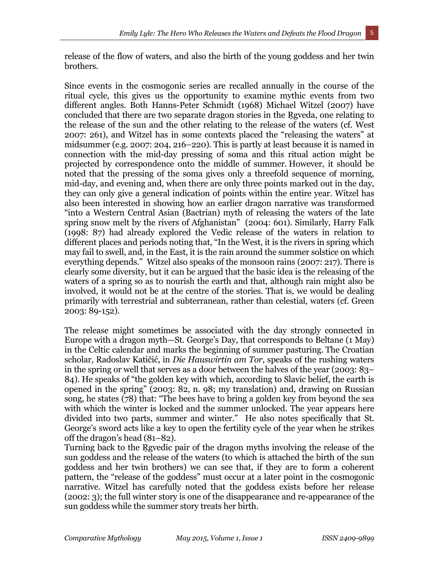release of the flow of waters, and also the birth of the young goddess and her twin brothers.

Since events in the cosmogonic series are recalled annually in the course of the ritual cycle, this gives us the opportunity to examine mythic events from two different angles. Both Hanns-Peter Schmidt (1968) Michael Witzel (2007) have concluded that there are two separate dragon stories in the Ṛgveda, one relating to the release of the sun and the other relating to the release of the waters (cf. West 2007: 261), and Witzel has in some contexts placed the "releasing the waters" at midsummer (e.g. 2007: 204, 216–220). This is partly at least because it is named in connection with the mid-day pressing of soma and this ritual action might be projected by correspondence onto the middle of summer. However, it should be noted that the pressing of the soma gives only a threefold sequence of morning, mid-day, and evening and, when there are only three points marked out in the day, they can only give a general indication of points within the entire year. Witzel has also been interested in showing how an earlier dragon narrative was transformed "into a Western Central Asian (Bactrian) myth of releasing the waters of the late spring snow melt by the rivers of Afghanistan" (2004: 601). Similarly, Harry Falk (1998: 87) had already explored the Vedic release of the waters in relation to different places and periods noting that, "In the West, it is the rivers in spring which may fail to swell, and, in the East, it is the rain around the summer solstice on which everything depends." Witzel also speaks of the monsoon rains (2007: 217). There is clearly some diversity, but it can be argued that the basic idea is the releasing of the waters of a spring so as to nourish the earth and that, although rain might also be involved, it would not be at the centre of the stories. That is, we would be dealing primarily with terrestrial and subterranean, rather than celestial, waters (cf. Green 2003: 89-152).

The release might sometimes be associated with the day strongly connected in Europe with a dragon myth—St. George's Day, that corresponds to Beltane (1 May) in the Celtic calendar and marks the beginning of summer pasturing. The Croatian scholar, Radoslav Katičić, in *Die Hauswirtin am Tor*, speaks of the rushing waters in the spring or well that serves as a door between the halves of the year (2003: 83– 84). He speaks of "the golden key with which, according to Slavic belief, the earth is opened in the spring" (2003: 82, n. 98; my translation) and, drawing on Russian song, he states (78) that: "The bees have to bring a golden key from beyond the sea with which the winter is locked and the summer unlocked. The year appears here divided into two parts, summer and winter." He also notes specifically that St. George's sword acts like a key to open the fertility cycle of the year when he strikes off the dragon's head (81–82).

Turning back to the Rgyedic pair of the dragon myths involving the release of the sun goddess and the release of the waters (to which is attached the birth of the sun goddess and her twin brothers) we can see that, if they are to form a coherent pattern, the "release of the goddess" must occur at a later point in the cosmogonic narrative. Witzel has carefully noted that the goddess exists before her release (2002: 3); the full winter story is one of the disappearance and re-appearance of the sun goddess while the summer story treats her birth.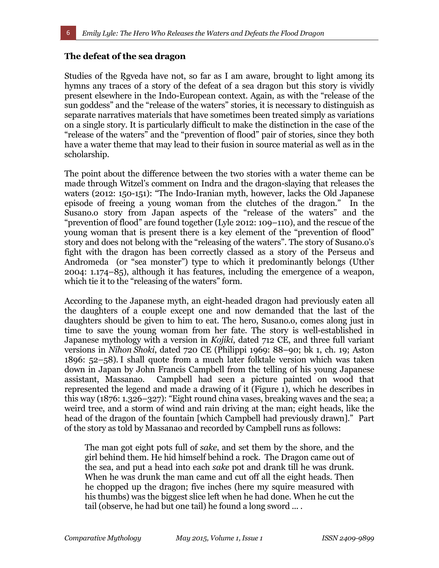### **The defeat of the sea dragon**

Studies of the Rgyeda have not, so far as I am aware, brought to light among its hymns any traces of a story of the defeat of a sea dragon but this story is vividly present elsewhere in the Indo-European context. Again, as with the "release of the sun goddess" and the "release of the waters" stories, it is necessary to distinguish as separate narratives materials that have sometimes been treated simply as variations on a single story. It is particularly difficult to make the distinction in the case of the "release of the waters" and the "prevention of flood" pair of stories, since they both have a water theme that may lead to their fusion in source material as well as in the scholarship.

The point about the difference between the two stories with a water theme can be made through Witzel's comment on Indra and the dragon-slaying that releases the waters (2012: 150-151): "The Indo-Iranian myth, however, lacks the Old Japanese episode of freeing a young woman from the clutches of the dragon." In the Susano.o story from Japan aspects of the "release of the waters" and the "prevention of flood" are found together (Lyle 2012: 109–110), and the rescue of the young woman that is present there is a key element of the "prevention of flood" story and does not belong with the "releasing of the waters". The story of Susano.o's fight with the dragon has been correctly classed as a story of the Perseus and Andromeda (or "sea monster") type to which it predominantly belongs (Uther 2004: 1.174–85), although it has features, including the emergence of a weapon, which tie it to the "releasing of the waters" form.

According to the Japanese myth, an eight-headed dragon had previously eaten all the daughters of a couple except one and now demanded that the last of the daughters should be given to him to eat. The hero, Susano.o, comes along just in time to save the young woman from her fate. The story is well-established in Japanese mythology with a version in *Kojiki*, dated 712 CE, and three full variant versions in *Nihon Shoki*, dated 720 CE (Philippi 1969: 88–90; bk 1, ch. 19; Aston 1896: 52–58). I shall quote from a much later folktale version which was taken down in Japan by John Francis Campbell from the telling of his young Japanese assistant, Massanao. Campbell had seen a picture painted on wood that represented the legend and made a drawing of it (Figure 1), which he describes in this way (1876: 1.326–327): "Eight round china vases, breaking waves and the sea; a weird tree, and a storm of wind and rain driving at the man; eight heads, like the head of the dragon of the fountain [which Campbell had previously drawn]." Part of the story as told by Massanao and recorded by Campbell runs as follows:

The man got eight pots full of *sake*, and set them by the shore, and the girl behind them. He hid himself behind a rock. The Dragon came out of the sea, and put a head into each *sake* pot and drank till he was drunk. When he was drunk the man came and cut off all the eight heads. Then he chopped up the dragon; five inches (here my squire measured with his thumbs) was the biggest slice left when he had done. When he cut the tail (observe, he had but one tail) he found a long sword ... .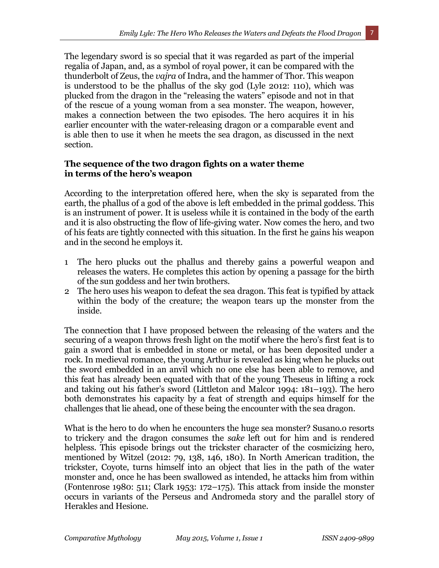The legendary sword is so special that it was regarded as part of the imperial regalia of Japan, and, as a symbol of royal power, it can be compared with the thunderbolt of Zeus, the *vajra* of Indra, and the hammer of Thor. This weapon is understood to be the phallus of the sky god (Lyle 2012: 110), which was plucked from the dragon in the "releasing the waters" episode and not in that of the rescue of a young woman from a sea monster. The weapon, however, makes a connection between the two episodes. The hero acquires it in his earlier encounter with the water-releasing dragon or a comparable event and is able then to use it when he meets the sea dragon, as discussed in the next section.

# **The sequence of the two dragon fights on a water theme in terms of the hero's weapon**

According to the interpretation offered here, when the sky is separated from the earth, the phallus of a god of the above is left embedded in the primal goddess. This is an instrument of power. It is useless while it is contained in the body of the earth and it is also obstructing the flow of life-giving water. Now comes the hero, and two of his feats are tightly connected with this situation. In the first he gains his weapon and in the second he employs it.

- 1 The hero plucks out the phallus and thereby gains a powerful weapon and releases the waters. He completes this action by opening a passage for the birth of the sun goddess and her twin brothers.
- 2 The hero uses his weapon to defeat the sea dragon. This feat is typified by attack within the body of the creature; the weapon tears up the monster from the inside.

The connection that I have proposed between the releasing of the waters and the securing of a weapon throws fresh light on the motif where the hero's first feat is to gain a sword that is embedded in stone or metal, or has been deposited under a rock. In medieval romance, the young Arthur is revealed as king when he plucks out the sword embedded in an anvil which no one else has been able to remove, and this feat has already been equated with that of the young Theseus in lifting a rock and taking out his father's sword (Littleton and Malcor 1994: 181–193). The hero both demonstrates his capacity by a feat of strength and equips himself for the challenges that lie ahead, one of these being the encounter with the sea dragon.

What is the hero to do when he encounters the huge sea monster? Susano.o resorts to trickery and the dragon consumes the *sake* left out for him and is rendered helpless. This episode brings out the trickster character of the cosmicizing hero, mentioned by Witzel (2012: 79, 138, 146, 180). In North American tradition, the trickster, Coyote, turns himself into an object that lies in the path of the water monster and, once he has been swallowed as intended, he attacks him from within (Fontenrose 1980: 511; Clark 1953: 172–175). This attack from inside the monster occurs in variants of the Perseus and Andromeda story and the parallel story of Herakles and Hesione.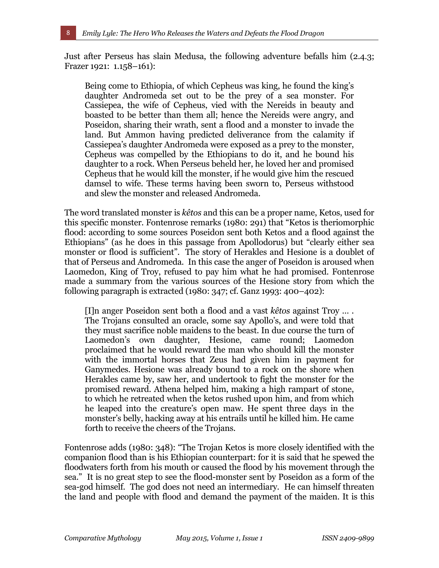Just after Perseus has slain Medusa, the following adventure befalls him (2.4.3; Frazer 1921: 1.158–161):

Being come to Ethiopia, of which Cepheus was king, he found the king's daughter Andromeda set out to be the prey of a sea monster. For Cassiepea, the wife of Cepheus, vied with the Nereids in beauty and boasted to be better than them all; hence the Nereids were angry, and Poseidon, sharing their wrath, sent a flood and a monster to invade the land. But Ammon having predicted deliverance from the calamity if Cassiepea's daughter Andromeda were exposed as a prey to the monster, Cepheus was compelled by the Ethiopians to do it, and he bound his daughter to a rock. When Perseus beheld her, he loved her and promised Cepheus that he would kill the monster, if he would give him the rescued damsel to wife. These terms having been sworn to, Perseus withstood and slew the monster and released Andromeda.

The word translated monster is *kêtos* and this can be a proper name, Ketos, used for this specific monster. Fontenrose remarks (1980: 291) that "Ketos is theriomorphic flood: according to some sources Poseidon sent both Ketos and a flood against the Ethiopians" (as he does in this passage from Apollodorus) but "clearly either sea monster or flood is sufficient". The story of Herakles and Hesione is a doublet of that of Perseus and Andromeda. In this case the anger of Poseidon is aroused when Laomedon, King of Troy, refused to pay him what he had promised. Fontenrose made a summary from the various sources of the Hesione story from which the following paragraph is extracted (1980: 347; cf. Ganz 1993: 400–402):

[I]n anger Poseidon sent both a flood and a vast *kêtos* against Troy … . The Trojans consulted an oracle, some say Apollo's, and were told that they must sacrifice noble maidens to the beast. In due course the turn of Laomedon's own daughter, Hesione, came round; Laomedon proclaimed that he would reward the man who should kill the monster with the immortal horses that Zeus had given him in payment for Ganymedes. Hesione was already bound to a rock on the shore when Herakles came by, saw her, and undertook to fight the monster for the promised reward. Athena helped him, making a high rampart of stone, to which he retreated when the ketos rushed upon him, and from which he leaped into the creature's open maw. He spent three days in the monster's belly, hacking away at his entrails until he killed him. He came forth to receive the cheers of the Trojans.

Fontenrose adds (1980: 348): "The Trojan Ketos is more closely identified with the companion flood than is his Ethiopian counterpart: for it is said that he spewed the floodwaters forth from his mouth or caused the flood by his movement through the sea." It is no great step to see the flood-monster sent by Poseidon as a form of the sea-god himself. The god does not need an intermediary. He can himself threaten the land and people with flood and demand the payment of the maiden. It is this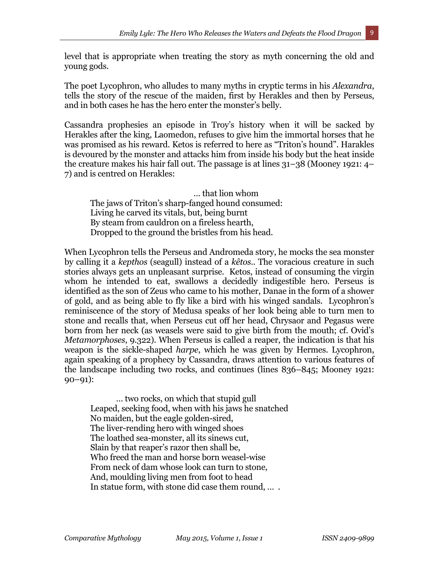level that is appropriate when treating the story as myth concerning the old and young gods.

The poet Lycophron, who alludes to many myths in cryptic terms in his *Alexandra*, tells the story of the rescue of the maiden, first by Herakles and then by Perseus, and in both cases he has the hero enter the monster's belly.

Cassandra prophesies an episode in Troy's history when it will be sacked by Herakles after the king, Laomedon, refuses to give him the immortal horses that he was promised as his reward. Ketos is referred to here as "Triton's hound". Harakles is devoured by the monster and attacks him from inside his body but the heat inside the creature makes his hair fall out. The passage is at lines 31–38 (Mooney 1921: 4– 7) and is centred on Herakles:

… that lion whom The jaws of Triton's sharp-fanged hound consumed: Living he carved its vitals, but, being burnt By steam from cauldron on a fireless hearth, Dropped to the ground the bristles from his head.

When Lycophron tells the Perseus and Andromeda story, he mocks the sea monster by calling it a *kepthos* (seagull) instead of a *kêtos*.. The voracious creature in such stories always gets an unpleasant surprise. Ketos, instead of consuming the virgin whom he intended to eat, swallows a decidedly indigestible hero. Perseus is identified as the son of Zeus who came to his mother, Danae in the form of a shower of gold, and as being able to fly like a bird with his winged sandals. Lycophron's reminiscence of the story of Medusa speaks of her look being able to turn men to stone and recalls that, when Perseus cut off her head, Chrysaor and Pegasus were born from her neck (as weasels were said to give birth from the mouth; cf. Ovid's *Metamorphoses*, 9.322). When Perseus is called a reaper, the indication is that his weapon is the sickle-shaped *harpe*, which he was given by Hermes. Lycophron, again speaking of a prophecy by Cassandra, draws attention to various features of the landscape including two rocks, and continues (lines 836–845; Mooney 1921: 90–91):

… two rocks, on which that stupid gull Leaped, seeking food, when with his jaws he snatched No maiden, but the eagle golden-sired, The liver-rending hero with winged shoes The loathed sea-monster, all its sinews cut, Slain by that reaper's razor then shall be, Who freed the man and horse born weasel-wise From neck of dam whose look can turn to stone, And, moulding living men from foot to head In statue form, with stone did case them round, … .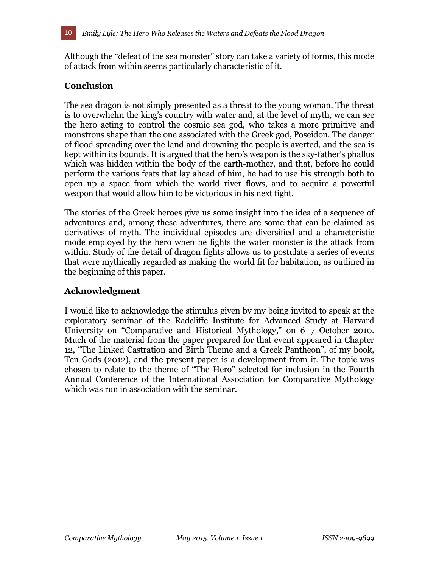Although the "defeat of the sea monster" story can take a variety of forms, this mode of attack from within seems particularly characteristic of it.

### **Conclusion**

The sea dragon is not simply presented as a threat to the young woman. The threat is to overwhelm the king's country with water and, at the level of myth, we can see the hero acting to control the cosmic sea god, who takes a more primitive and monstrous shape than the one associated with the Greek god, Poseidon. The danger of flood spreading over the land and drowning the people is averted, and the sea is kept within its bounds. It is argued that the hero's weapon is the sky-father's phallus which was hidden within the body of the earth-mother, and that, before he could perform the various feats that lay ahead of him, he had to use his strength both to open up a space from which the world river flows, and to acquire a powerful weapon that would allow him to be victorious in his next fight.

The stories of the Greek heroes give us some insight into the idea of a sequence of adventures and, among these adventures, there are some that can be claimed as derivatives of myth. The individual episodes are diversified and a characteristic mode employed by the hero when he fights the water monster is the attack from within. Study of the detail of dragon fights allows us to postulate a series of events that were mythically regarded as making the world fit for habitation, as outlined in the beginning of this paper.

### **Acknowledgment**

I would like to acknowledge the stimulus given by my being invited to speak at the exploratory seminar of the Radcliffe Institute for Advanced Study at Harvard University on "Comparative and Historical Mythology," on 6–7 October 2010. Much of the material from the paper prepared for that event appeared in Chapter 12, "The Linked Castration and Birth Theme and a Greek Pantheon", of my book, Ten Gods (2012), and the present paper is a development from it. The topic was chosen to relate to the theme of "The Hero" selected for inclusion in the Fourth Annual Conference of the International Association for Comparative Mythology which was run in association with the seminar.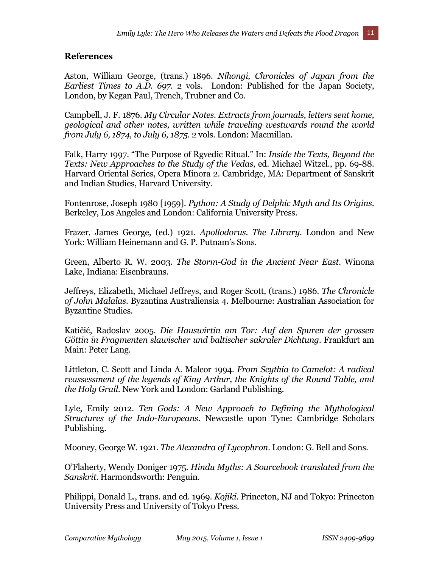#### **References**

Aston, William George, (trans.) 1896. *Nihongi, Chronicles of Japan from the Earliest Times to A.D. 697*. 2 vols. London: Published for the Japan Society, London, by Kegan Paul, Trench, Trubner and Co.

Campbell, J. F. 1876. *My Circular Notes. Extracts from journals, letters sent home, geological and other notes, written while traveling westwards round the world from July 6, 1874, to July 6, 1875*. 2 vols. London: Macmillan.

Falk, Harry 1997. "The Purpose of Rgvedic Ritual." In: *Inside the Texts, Beyond the Texts: New Approaches to the Study of the Vedas*, ed. Michael Witzel., pp. 69-88. Harvard Oriental Series, Opera Minora 2. Cambridge, MA: Department of Sanskrit and Indian Studies, Harvard University.

Fontenrose, Joseph 1980 [1959]. *Python: A Study of Delphic Myth and Its Origins*. Berkeley, Los Angeles and London: California University Press.

Frazer, James George, (ed.) 1921. *Apollodorus. The Library*. London and New York: William Heinemann and G. P. Putnam's Sons.

Green, Alberto R. W. 2003. *The Storm-God in the Ancient Near East*. Winona Lake, Indiana: Eisenbrauns.

Jeffreys, Elizabeth, Michael Jeffreys, and Roger Scott, (trans.) 1986. *The Chronicle of John Malalas*. Byzantina Australiensia 4. Melbourne: Australian Association for Byzantine Studies.

Katičić, Radoslav 2005. *Die Hauswirtin am Tor: Auf den Spuren der grossen Göttin in Fragmenten slawischer und baltischer sakraler Dichtung*. Frankfurt am Main: Peter Lang.

Littleton, C. Scott and Linda A. Malcor 1994. *From Scythia to Camelot: A radical*  reassessment of the legends of King Arthur, the Knights of the Round Table, and *the Holy Grail*. New York and London: Garland Publishing.

Lyle, Emily 2012. *Ten Gods: A New Approach to Defining the Mythological Structures of the Indo-Europeans*. Newcastle upon Tyne: Cambridge Scholars Publishing.

Mooney, George W. 1921. *The Alexandra of Lycophron*. London: G. Bell and Sons.

O'Flaherty, Wendy Doniger 1975. *Hindu Myths: A Sourcebook translated from the Sanskrit*. Harmondsworth: Penguin.

Philippi, Donald L., trans. and ed. 1969. *Kojiki*. Princeton, NJ and Tokyo: Princeton University Press and University of Tokyo Press.